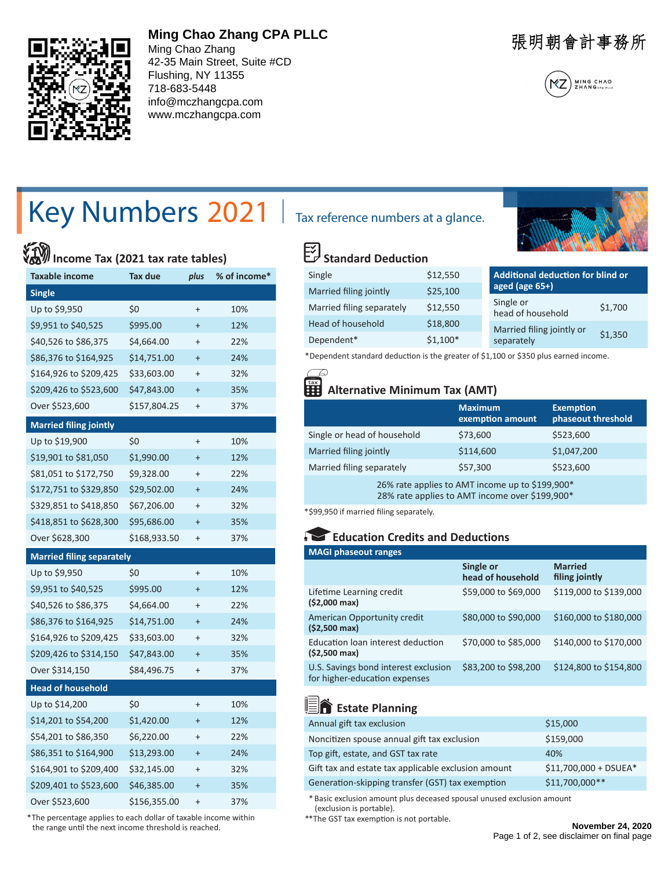

### **Ming Chao Zhang CPA PLLC**

Ming Chao Zhang 42-35 Main Street, Suite #CD Flushing, NY 11355 718-683-5448 info@mczhangcpa.com www.mczhangcpa.com

張明朝會計事務所



# Key Numbers 2021 | Tax reference numbers at a glance.

## **Income Tax (2021 tax rate tables)**

| <b>Taxable income</b>            | Tax due      | plus      | % of income* |
|----------------------------------|--------------|-----------|--------------|
| <b>Single</b>                    |              |           |              |
| Up to \$9,950                    | \$0          | $\ddot{}$ | 10%          |
| \$9,951 to \$40,525              | \$995.00     | $\ddot{}$ | 12%          |
| \$40,526 to \$86,375             | \$4,664.00   | $\ddot{}$ | 22%          |
| \$86,376 to \$164,925            | \$14,751.00  | $\ddot{}$ | 24%          |
| \$164,926 to \$209,425           | \$33,603.00  | $\ddot{}$ | 32%          |
| \$209,426 to \$523,600           | \$47,843.00  | $\ddot{}$ | 35%          |
| Over \$523,600                   | \$157,804.25 | $\ddot{}$ | 37%          |
| <b>Married filing jointly</b>    |              |           |              |
| Up to \$19,900                   | \$0          | $\ddot{}$ | 10%          |
| \$19,901 to \$81,050             | \$1,990.00   | $\ddot{}$ | 12%          |
| \$81,051 to \$172,750            | \$9,328.00   | $\ddot{}$ | 22%          |
| \$172,751 to \$329,850           | \$29,502.00  | $\ddot{}$ | 24%          |
| \$329,851 to \$418,850           | \$67,206.00  | $\ddot{}$ | 32%          |
| \$418,851 to \$628,300           | \$95,686.00  | $\ddot{}$ | 35%          |
| Over \$628,300                   | \$168,933.50 | $\ddot{}$ | 37%          |
| <b>Married filing separately</b> |              |           |              |
| Up to \$9,950                    | \$0          | $\ddot{}$ | 10%          |
| \$9,951 to \$40,525              | \$995.00     | $\ddot{}$ | 12%          |
| \$40,526 to \$86,375             | \$4,664.00   | $\ddot{}$ | 22%          |
| \$86,376 to \$164,925            | \$14,751.00  | $\ddot{}$ | 24%          |
| \$164,926 to \$209,425           | \$33,603.00  | $\ddot{}$ | 32%          |
| \$209,426 to \$314,150           | \$47,843.00  | $\ddot{}$ | 35%          |
| Over \$314,150                   | \$84,496.75  | $\ddot{}$ | 37%          |
| <b>Head of household</b>         |              |           |              |
| Up to \$14,200                   | \$0          | $\ddot{}$ | 10%          |
| \$14,201 to \$54,200             | \$1,420.00   | $\ddot{}$ | 12%          |
| \$54,201 to \$86,350             | \$6,220.00   | $\ddot{}$ | 22%          |
| \$86,351 to \$164,900            | \$13,293.00  | $\ddot{}$ | 24%          |
| \$164,901 to \$209,400           | \$32,145.00  | $\ddot{}$ | 32%          |
| \$209,401 to \$523,600           | \$46,385.00  | $\ddot{}$ | 35%          |
| Over \$523,600                   | \$156,355.00 | $\ddot{}$ | 37%          |

 \* The percentage applies to each dollar of taxable income within the range until the next income threshold is reached.



#### 図 **Standard Deduction**

| Single                    | \$12,550  | Additional deduction for blind or         |  |
|---------------------------|-----------|-------------------------------------------|--|
| Married filing jointly    | \$25,100  | aged (age $65+$ )                         |  |
| Married filing separately | \$12,550  | Single or<br>\$1,700<br>head of household |  |
| Head of household         | \$18,800  | Married filing jointly or                 |  |
| Dependent*                | $$1,100*$ | \$1,350<br>separately                     |  |

\* Dependent standard deduction is the greater of \$1,100 or \$350 plus earned income.

### **Alternative Minimum Tax (AMT)**

|                                                 | <b>Maximum</b><br>exemption amount | <b>Exemption</b><br>phaseout threshold |
|-------------------------------------------------|------------------------------------|----------------------------------------|
| Single or head of household                     | \$73,600                           | \$523,600                              |
| Married filing jointly                          | \$114,600                          | \$1,047,200                            |
| Married filing separately                       | \$57,300                           | \$523,600                              |
| 26% rate applies to AMT income up to \$199,900* |                                    |                                        |

28% rate applies to AMT income over \$199,900\*

\*\$99,950 if married filing separately.

### **Education Credits and Deductions**

| <b>MAGI phaseout ranges</b>                                           |                                |                                  |
|-----------------------------------------------------------------------|--------------------------------|----------------------------------|
|                                                                       | Single or<br>head of household | <b>Married</b><br>filing jointly |
| Lifetime Learning credit<br>$( $2,000 \text{ max} )$                  | \$59,000 to \$69,000           | \$119,000 to \$139,000           |
| American Opportunity credit<br>$(52,500 \text{ max})$                 | \$80,000 to \$90,000           | \$160,000 to \$180,000           |
| Education loan interest deduction<br>$(52,500 \text{ max})$           | \$70,000 to \$85,000           | \$140,000 to \$170,000           |
| U.S. Savings bond interest exclusion<br>for higher-education expenses | \$83,200 to \$98,200           | \$124,800 to \$154,800           |

## **End** Estate Planning

| Annual gift tax exclusion                           | \$15,000               |
|-----------------------------------------------------|------------------------|
| Noncitizen spouse annual gift tax exclusion         | \$159,000              |
| Top gift, estate, and GST tax rate                  | 40%                    |
| Gift tax and estate tax applicable exclusion amount | $$11,700,000 + DSUEA*$ |
| Generation-skipping transfer (GST) tax exemption    | \$11,700,000**         |

 \* Basic exclusion amount plus deceased spousal unused exclusion amount (exclusion is portable).

\*\*The GST tax exemption is not portable.